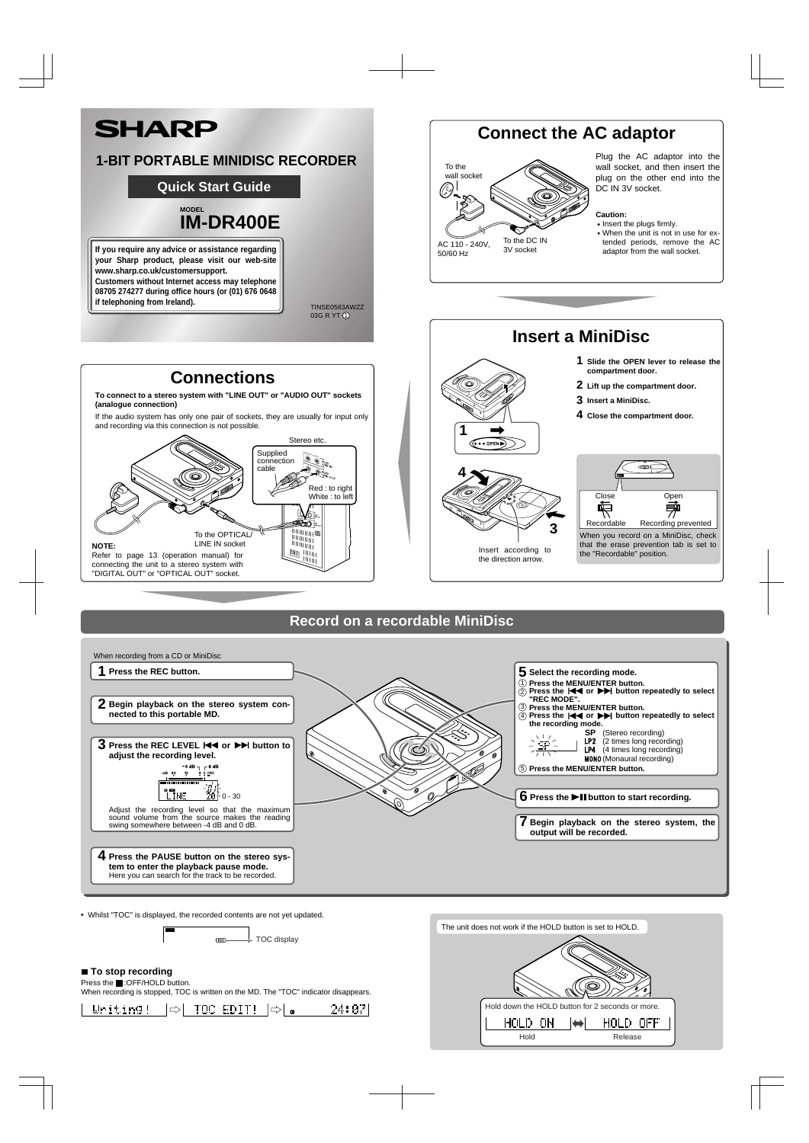Press the **:OFF/HOLD** button. When recording is stopped, TOC is written on the MD. The "TOC" indicator disappears.

-24:07



Whilst "TOC" is displayed, the recorded contents are not yet updated.

- TOC display  $Toc$ 

## ■ To stop recording



**tem to enter the playback pause mode.** Here you can search for the track to be recorded.